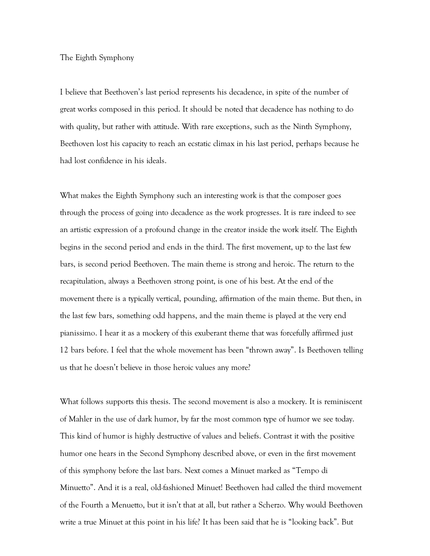## The Eighth Symphony

I believe that Beethoven's last period represents his decadence, in spite of the number of great works composed in this period. It should be noted that decadence has nothing to do with quality, but rather with attitude. With rare exceptions, such as the Ninth Symphony, Beethoven lost his capacity to reach an ecstatic climax in his last period, perhaps because he had lost confidence in his ideals.

What makes the Eighth Symphony such an interesting work is that the composer goes through the process of going into decadence as the work progresses. It is rare indeed to see an artistic expression of a profound change in the creator inside the work itself. The Eighth begins in the second period and ends in the third. The first movement, up to the last few bars, is second period Beethoven. The main theme is strong and heroic. The return to the recapitulation, always a Beethoven strong point, is one of his best. At the end of the movement there is a typically vertical, pounding, affirmation of the main theme. But then, in the last few bars, something odd happens, and the main theme is played at the very end pianissimo. I hear it as a mockery of this exuberant theme that was forcefully affirmed just 12 bars before. I feel that the whole movement has been "thrown away". Is Beethoven telling us that he doesn't believe in those heroic values any more?

What follows supports this thesis. The second movement is also a mockery. It is reminiscent of Mahler in the use of dark humor, by far the most common type of humor we see today. This kind of humor is highly destructive of values and beliefs. Contrast it with the positive humor one hears in the Second Symphony described above, or even in the first movement of this symphony before the last bars. Next comes a Minuet marked as "Tempo di Minuetto". And it is a real, old-fashioned Minuet! Beethoven had called the third movement of the Fourth a Menuetto, but it isn't that at all, but rather a Scherzo. Why would Beethoven write a true Minuet at this point in his life? It has been said that he is "looking back". But